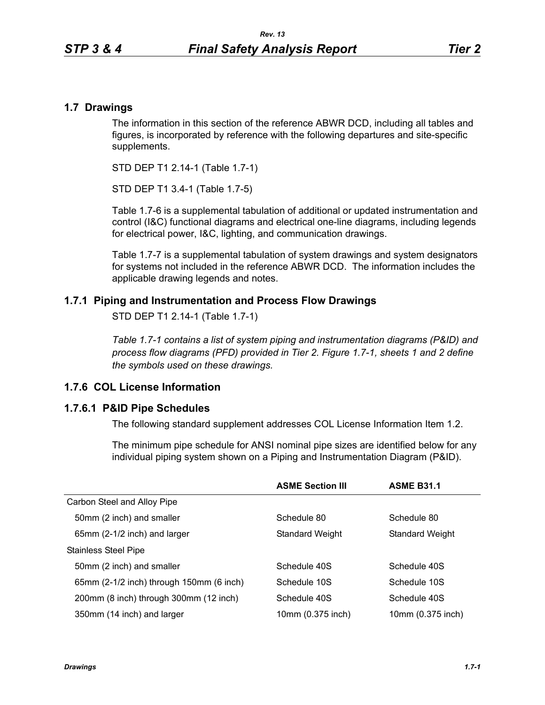## **1.7 Drawings**

The information in this section of the reference ABWR DCD, including all tables and figures, is incorporated by reference with the following departures and site-specific supplements.

STD DEP T1 2.14-1 (Table 1.7-1)

STD DEP T1 3.4-1 (Table 1.7-5)

Table [1.7-6](#page-3-0) is a supplemental tabulation of additional or updated instrumentation and control (I&C) functional diagrams and electrical one-line diagrams, including legends for electrical power, I&C, lighting, and communication drawings.

Table 1.7-7 is a supplemental tabulation of system drawings and system designators for systems not included in the reference ABWR DCD. The information includes the applicable drawing legends and notes.

### **1.7.1 Piping and Instrumentation and Process Flow Drawings**

STD DEP T1 2.14-1 (Table 1.7-1)

*Table 1.7-1 contains a list of system piping and instrumentation diagrams (P&ID) and process flow diagrams (PFD) provided in Tier 2. Figure 1.7-1, sheets 1 and 2 define the symbols used on these drawings.*

## **1.7.6 COL License Information**

## **1.7.6.1 P&ID Pipe Schedules**

The following standard supplement addresses COL License Information Item 1.2.

The minimum pipe schedule for ANSI nominal pipe sizes are identified below for any individual piping system shown on a Piping and Instrumentation Diagram (P&ID).

|                                          | <b>ASME Section III</b> | <b>ASME B31.1</b> |
|------------------------------------------|-------------------------|-------------------|
| Carbon Steel and Alloy Pipe              |                         |                   |
| 50mm (2 inch) and smaller                | Schedule 80             | Schedule 80       |
| 65mm (2-1/2 inch) and larger             | <b>Standard Weight</b>  | Standard Weight   |
| <b>Stainless Steel Pipe</b>              |                         |                   |
| 50mm (2 inch) and smaller                | Schedule 40S            | Schedule 40S      |
| 65mm (2-1/2 inch) through 150mm (6 inch) | Schedule 10S            | Schedule 10S      |
| 200mm (8 inch) through 300mm (12 inch)   | Schedule 40S            | Schedule 40S      |
| 350mm (14 inch) and larger               | 10mm (0.375 inch)       | 10mm (0.375 inch) |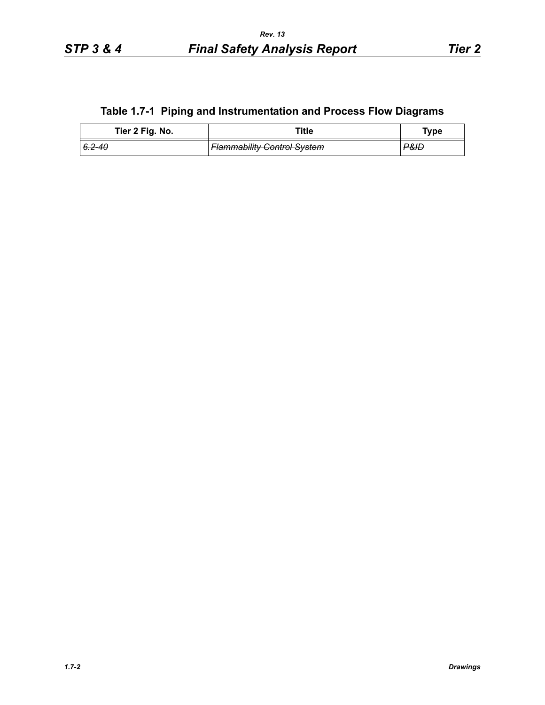# **Table 1.7-1 Piping and Instrumentation and Process Flow Diagrams**

| Tier 2 Fig. No. | ™itle                              | <b>Type</b> |
|-----------------|------------------------------------|-------------|
| $6.2 - 40$      | <b>Flammability Control System</b> | P&ID        |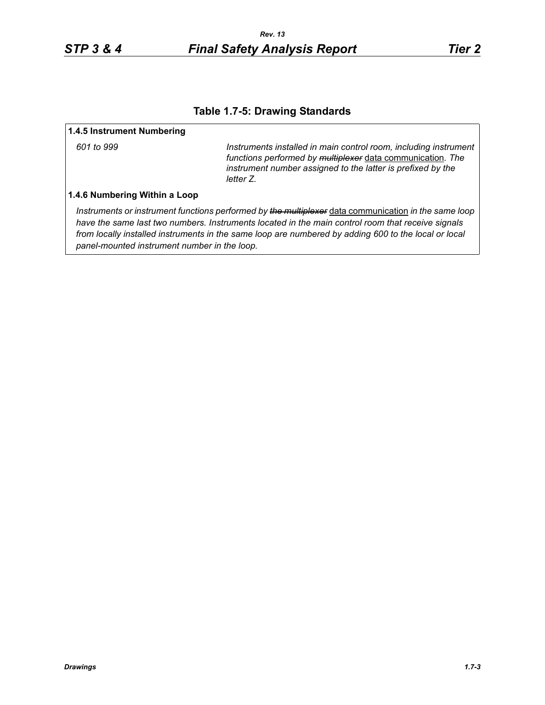## **Table 1.7-5: Drawing Standards**

#### **1.4.5 Instrument Numbering**

*601 to 999 Instruments installed in main control room, including instrument functions performed by multiplexer* data communication*. The instrument number assigned to the latter is prefixed by the letter Z.*

#### **1.4.6 Numbering Within a Loop**

*Instruments or instrument functions performed by the multiplexer* data communication *in the same loop have the same last two numbers. Instruments located in the main control room that receive signals from locally installed instruments in the same loop are numbered by adding 600 to the local or local panel-mounted instrument number in the loop.*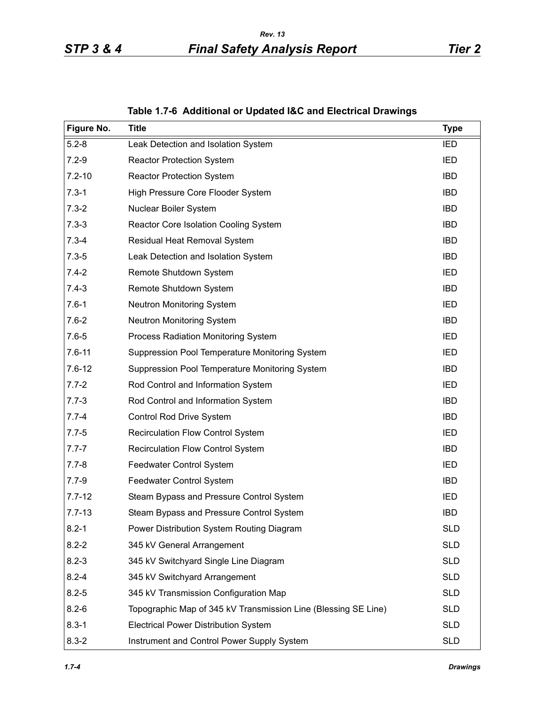<span id="page-3-0"></span>

| Figure No. | <b>Title</b>                                                   | <b>Type</b> |
|------------|----------------------------------------------------------------|-------------|
| $5.2 - 8$  | Leak Detection and Isolation System                            | <b>IED</b>  |
| $7.2 - 9$  | <b>Reactor Protection System</b>                               | <b>IED</b>  |
| $7.2 - 10$ | <b>Reactor Protection System</b>                               | <b>IBD</b>  |
| $7.3 - 1$  | High Pressure Core Flooder System                              | <b>IBD</b>  |
| $7.3 - 2$  | Nuclear Boiler System                                          | <b>IBD</b>  |
| $7.3 - 3$  | Reactor Core Isolation Cooling System                          | <b>IBD</b>  |
| $7.3 - 4$  | Residual Heat Removal System                                   | <b>IBD</b>  |
| $7.3 - 5$  | Leak Detection and Isolation System                            | <b>IBD</b>  |
| $7.4 - 2$  | Remote Shutdown System                                         | IED         |
| $7.4 - 3$  | Remote Shutdown System                                         | <b>IBD</b>  |
| $7.6 - 1$  | <b>Neutron Monitoring System</b>                               | IED         |
| $7.6 - 2$  | Neutron Monitoring System                                      | <b>IBD</b>  |
| $7.6 - 5$  | Process Radiation Monitoring System                            | IED         |
| $7.6 - 11$ | Suppression Pool Temperature Monitoring System                 | <b>IED</b>  |
| $7.6 - 12$ | Suppression Pool Temperature Monitoring System                 | <b>IBD</b>  |
| $7.7 - 2$  | Rod Control and Information System                             | <b>IED</b>  |
| $7.7 - 3$  | Rod Control and Information System                             | <b>IBD</b>  |
| $7.7 - 4$  | Control Rod Drive System                                       | <b>IBD</b>  |
| $7.7 - 5$  | Recirculation Flow Control System                              | IED         |
| $7.7 - 7$  | Recirculation Flow Control System                              | <b>IBD</b>  |
| $7.7 - 8$  | Feedwater Control System                                       | <b>IED</b>  |
| $7.7 - 9$  | Feedwater Control System                                       | <b>IBD</b>  |
| $7.7 - 12$ | Steam Bypass and Pressure Control System                       | IED         |
| $7.7 - 13$ | Steam Bypass and Pressure Control System                       | <b>IBD</b>  |
| $8.2 - 1$  | Power Distribution System Routing Diagram                      | <b>SLD</b>  |
| $8.2 - 2$  | 345 kV General Arrangement                                     | <b>SLD</b>  |
| $8.2 - 3$  | 345 kV Switchyard Single Line Diagram                          | <b>SLD</b>  |
| $8.2 - 4$  | 345 kV Switchyard Arrangement                                  | <b>SLD</b>  |
| $8.2 - 5$  | 345 kV Transmission Configuration Map                          | <b>SLD</b>  |
| $8.2 - 6$  | Topographic Map of 345 kV Transmission Line (Blessing SE Line) | <b>SLD</b>  |
| $8.3 - 1$  | <b>Electrical Power Distribution System</b>                    | <b>SLD</b>  |
| $8.3 - 2$  | Instrument and Control Power Supply System                     | <b>SLD</b>  |

**Table 1.7-6 Additional or Updated I&C and Electrical Drawings**